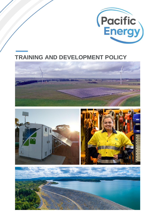

# **TRAINING AND DEVELOPMENT POLICY**







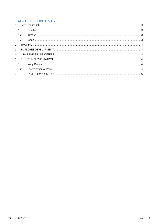# **TABLE OF CONTENTS**

| 1.1 |  |
|-----|--|
| 1.2 |  |
| 1.3 |  |
|     |  |
|     |  |
|     |  |
|     |  |
| 5.1 |  |
| 5.2 |  |
|     |  |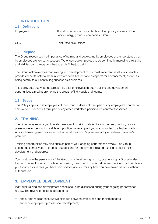#### <span id="page-2-0"></span>**1. INTRODUCTION**

#### <span id="page-2-1"></span>**1.1 Definitions**

Employees All staff, contractors, consultants and temporary workers of the Pacific Energy group of companies (Group).

CEO Chief Executive Officer

#### <span id="page-2-2"></span>**1.2 Purpose**

The Group recognises the importance of training and developing its employees and understands that its employees are key to its success. We encourage employees to be continually improving their skills and abilities both through on-the-job and off-the-job training.

The Group acknowledges that training and development of our most important asset – our people provides benefits both to them in terms of overall career and prospects for advancement, as well as being central to our continuing success as a business.

This policy sets out what the Group may offer employees through training and development opportunities aimed at promoting the growth of individuals and teams.

#### <span id="page-2-3"></span>**1.3 Scope**

This Policy applies to all employees of the Group. It does not form part of any employee's contract of employment, nor does it form part of any other workplace participant's contract for service.

## <span id="page-2-4"></span>**2. TRAINING**

The Group may require you to undertake specific training related to your current position, or as a prerequisite for performing a different position, for example if you are promoted to a higher position. Any such training may be carried out either at the Group's premises or by an external provider's premises.

Training opportunities may also arise as part of your ongoing performance review. The Group encourages employees to propose suggestions for employment-related training to assist their development and progress.

You must have the permission of the Group prior to either signing up, or attending, a Group funded training course. If you fail to obtain permission, the Group in its discretion may decide to not reimburse you for any course fees you have paid or discipline you for any time you have taken off work without authorisation.

## <span id="page-2-5"></span>**3. EMPLOYEE DEVELOPMENT**

Individual training and development needs should be discussed during your ongoing performance review. The review process is designed to:

- − encourage regular constructive dialogue between employees and their managers;
- − enhance employee's professional development;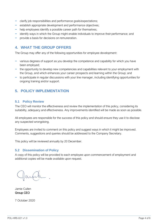- − clarify job responsibilities and performance goals/expectations;
- − establish appropriate development and performance objectives;
- − help employees identify a possible career path for themselves;
- − identify ways in which the Group might enable individuals to improve their performance; and
- − provide a basis for decisions on remuneration.

## <span id="page-3-0"></span>**4. WHAT THE GROUP OFFERS**

The Group may offer any of the following opportunities for employee development:

- − various degrees of support as you develop the competence and capability for which you have been employed;
- − the opportunity to develop new competencies and capabilities relevant to your employment with the Group, and which enhances your career prospects and learning within the Group; and
- − to participate in regular discussions with your line manager, including identifying opportunities for ongoing training and/or support.

## <span id="page-3-1"></span>**5. POLICY IMPLEMENTATION**

#### <span id="page-3-2"></span>**5.1 Policy Review**

The CEO will monitor the effectiveness and review the implementation of this policy, considering its suitability, adequacy and effectiveness. Any improvements identified will be made as soon as possible.

All employees are responsible for the success of this policy and should ensure they use it to disclose any suspected wrongdoing.

Employees are invited to comment on this policy and suggest ways in which it might be improved. Comments, suggestions and queries should be addressed to the Company Secretary.

This policy will be reviewed annually by 20 December.

#### <span id="page-3-3"></span>**5.2 Dissemination of Policy**

A copy of this policy will be provided to each employee upon commencement of employment and additional copies will be made available upon request.

Jamie Cullen Group CEO

7 October 2020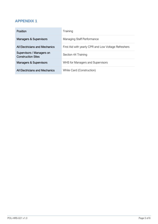## **APPENDIX 1**

| Position                                               | Training                                             |  |  |
|--------------------------------------------------------|------------------------------------------------------|--|--|
| Managers & Supervisors                                 | Managing Staff Performance                           |  |  |
| All Electricians and Mechanics                         | First Aid with yearly CPR and Low Voltage Refreshers |  |  |
| Supervisors / Managers on<br><b>Construction Sites</b> | Section 44 Training                                  |  |  |
| <b>Managers &amp; Supervisors</b>                      | WHS for Managers and Supervisors                     |  |  |
| All Flectricians and Mechanics                         | White Card (Construction)                            |  |  |